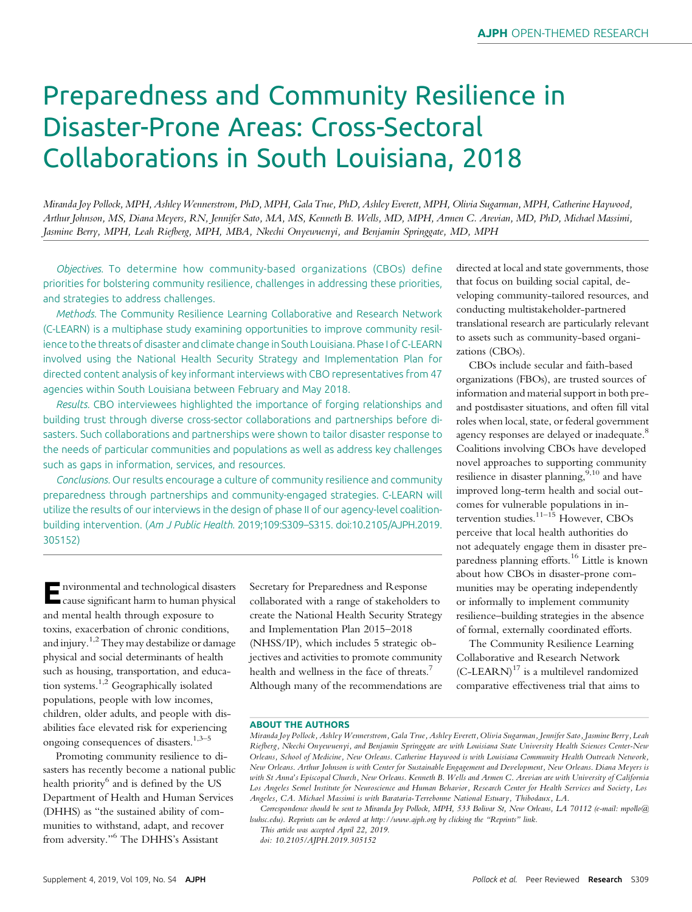# Preparedness and Community Resilience in Disaster-Prone Areas: Cross-Sectoral Collaborations in South Louisiana, 2018

Miranda Joy Pollock, MPH, Ashley Wennerstrom, PhD, MPH, Gala True, PhD, Ashley Everett, MPH, Olivia Sugarman, MPH, Catherine Haywood, Arthur Johnson, MS, Diana Meyers, RN, Jennifer Sato, MA, MS, Kenneth B. Wells, MD, MPH, Armen C. Arevian, MD, PhD, Michael Massimi, Jasmine Berry, MPH, Leah Riefberg, MPH, MBA, Nkechi Onyewuenyi, and Benjamin Springgate, MD, MPH

Objectives. To determine how community-based organizations (CBOs) define priorities for bolstering community resilience, challenges in addressing these priorities, and strategies to address challenges.

Methods. The Community Resilience Learning Collaborative and Research Network (C-LEARN) is a multiphase study examining opportunities to improve community resilience to the threats of disaster and climate change in South Louisiana. Phase I of C-LEARN involved using the National Health Security Strategy and Implementation Plan for directed content analysis of key informant interviews with CBO representatives from 47 agencies within South Louisiana between February and May 2018.

Results. CBO interviewees highlighted the importance of forging relationships and building trust through diverse cross-sector collaborations and partnerships before disasters. Such collaborations and partnerships were shown to tailor disaster response to the needs of particular communities and populations as well as address key challenges such as gaps in information, services, and resources.

Conclusions. Our results encourage a culture of community resilience and community preparedness through partnerships and community-engaged strategies. C-LEARN will utilize the results of our interviews in the design of phase II of our agency-level coalitionbuilding intervention. (Am J Public Health. 2019;109:S309–S315. doi:10.2105/AJPH.2019. 305152)

Environmental and technological disasters cause significant harm to human physical and mental health through exposure to toxins, exacerbation of chronic conditions, and injury.<sup>1,2</sup> They may destabilize or damage physical and social determinants of health such as housing, transportation, and education systems.1,2 Geographically isolated populations, people with low incomes, children, older adults, and people with disabilities face elevated risk for experiencing ongoing consequences of disasters.<sup>1,3–5</sup>

Promoting community resilience to disasters has recently become a national public health priority<sup>6</sup> and is defined by the US Department of Health and Human Services (DHHS) as "the sustained ability of communities to withstand, adapt, and recover from adversity."<sup>6</sup> The DHHS's Assistant

Secretary for Preparedness and Response collaborated with a range of stakeholders to create the National Health Security Strategy and Implementation Plan 2015–2018 (NHSS/IP), which includes 5 strategic objectives and activities to promote community health and wellness in the face of threats.<sup>7</sup> Although many of the recommendations are directed at local and state governments, those that focus on building social capital, developing community-tailored resources, and conducting multistakeholder-partnered translational research are particularly relevant to assets such as community-based organizations (CBOs).

CBOs include secular and faith-based organizations (FBOs), are trusted sources of information and material support in both preand postdisaster situations, and often fill vital roles when local, state, or federal government agency responses are delayed or inadequate.<sup>8</sup> Coalitions involving CBOs have developed novel approaches to supporting community resilience in disaster planning, 9,10 and have improved long-term health and social outcomes for vulnerable populations in intervention studies. $11^{-15}$  However, CBOs perceive that local health authorities do not adequately engage them in disaster preparedness planning efforts.<sup>16</sup> Little is known about how CBOs in disaster-prone communities may be operating independently or informally to implement community resilience–building strategies in the absence of formal, externally coordinated efforts.

The Community Resilience Learning Collaborative and Research Network  $(C-LEARN)^{17}$  is a multilevel randomized comparative effectiveness trial that aims to

## ABOUT THE AUTHORS

Correspondence should be sent to Miranda Joy Pollock, MPH, 533 Bolivar St, New Orleans, LA 70112 (e-mail: [mpollo@](mailto:mpollo@lsuhsc.edu) [lsuhsc.edu\)](mailto:mpollo@lsuhsc.edu). Reprints can be ordered at<http://www.ajph.org> by clicking the "Reprints" link.

This article was accepted April 22, 2019.

doi: 10.2105/AJPH.2019.305152

Miranda Joy Pollock, AshleyWennerstrom, Gala True, Ashley Everett, Olivia Sugarman, Jennifer Sato, Jasmine Berry, Leah Riefberg, Nkechi Onyewuenyi, and Benjamin Springgate are with Louisiana State University Health Sciences Center-New Orleans, School of Medicine, New Orleans. Catherine Haywood is with Louisiana Community Health Outreach Network, New Orleans. Arthur Johnson is with Center for Sustainable Engagement and Development, New Orleans. Diana Meyers is with St Anna's Episcopal Church, New Orleans. Kenneth B. Wells and Armen C. Arevian are with University of California Los Angeles Semel Institute for Neuroscience and Human Behavior, Research Center for Health Services and Society, Los Angeles, CA. Michael Massimi is with Barataria-Terrebonne National Estuary, Thibodaux, LA.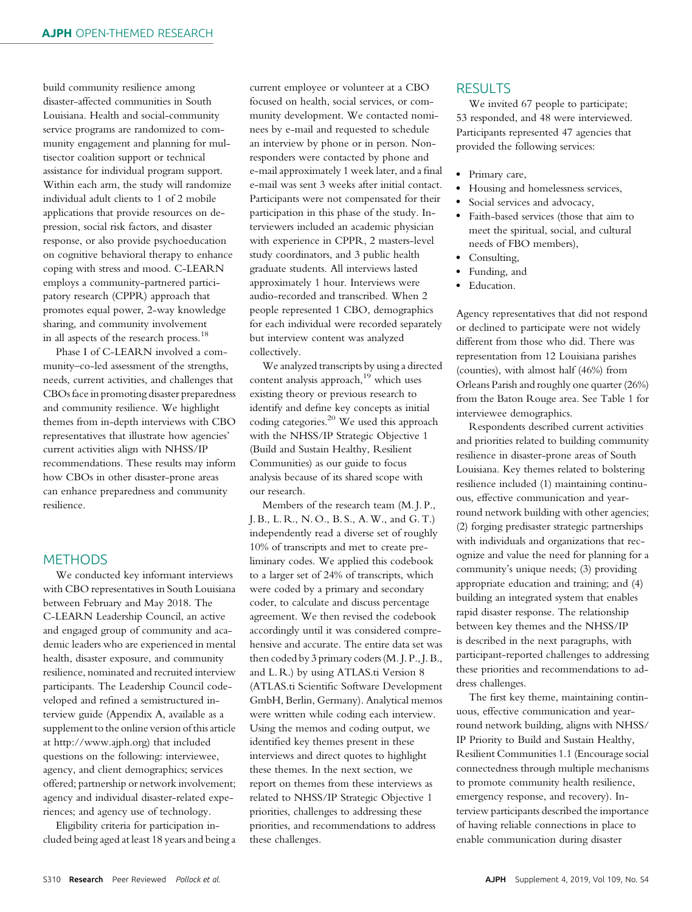build community resilience among disaster-affected communities in South Louisiana. Health and social-community service programs are randomized to community engagement and planning for multisector coalition support or technical assistance for individual program support. Within each arm, the study will randomize individual adult clients to 1 of 2 mobile applications that provide resources on depression, social risk factors, and disaster response, or also provide psychoeducation on cognitive behavioral therapy to enhance coping with stress and mood. C-LEARN employs a community-partnered participatory research (CPPR) approach that promotes equal power, 2-way knowledge sharing, and community involvement in all aspects of the research process.<sup>18</sup>

Phase I of C-LEARN involved a community–co-led assessment of the strengths, needs, current activities, and challenges that CBOs face in promoting disaster preparedness and community resilience. We highlight themes from in-depth interviews with CBO representatives that illustrate how agencies' current activities align with NHSS/IP recommendations. These results may inform how CBOs in other disaster-prone areas can enhance preparedness and community resilience.

# **METHODS**

We conducted key informant interviews with CBO representatives in South Louisiana between February and May 2018. The C-LEARN Leadership Council, an active and engaged group of community and academic leaders who are experienced in mental health, disaster exposure, and community resilience, nominated and recruited interview participants. The Leadership Council codeveloped and refined a semistructured interview guide (Appendix A, available as a supplement to the online version of this article at<http://www.ajph.org>) that included questions on the following: interviewee, agency, and client demographics; services offered; partnership or network involvement; agency and individual disaster-related experiences; and agency use of technology.

Eligibility criteria for participation included being aged at least 18 years and being a current employee or volunteer at a CBO focused on health, social services, or community development. We contacted nominees by e-mail and requested to schedule an interview by phone or in person. Nonresponders were contacted by phone and e-mail approximately 1 week later, and a final e-mail was sent 3 weeks after initial contact. Participants were not compensated for their participation in this phase of the study. Interviewers included an academic physician with experience in CPPR, 2 masters-level study coordinators, and 3 public health graduate students. All interviews lasted approximately 1 hour. Interviews were audio-recorded and transcribed. When 2 people represented 1 CBO, demographics for each individual were recorded separately but interview content was analyzed collectively.

We analyzed transcripts by using a directed content analysis approach, $19$  which uses existing theory or previous research to identify and define key concepts as initial coding categories.<sup>20</sup> We used this approach with the NHSS/IP Strategic Objective 1 (Build and Sustain Healthy, Resilient Communities) as our guide to focus analysis because of its shared scope with our research.

Members of the research team (M. J. P., J. B., L. R., N. O., B. S., A.W., and G. T.) independently read a diverse set of roughly 10% of transcripts and met to create preliminary codes. We applied this codebook to a larger set of 24% of transcripts, which were coded by a primary and secondary coder, to calculate and discuss percentage agreement. We then revised the codebook accordingly until it was considered comprehensive and accurate. The entire data set was then coded by 3 primary coders (M. J. P., J. B., and L. R.) by using ATLAS.ti Version 8 (ATLAS.ti Scientific Software Development GmbH, Berlin, Germany). Analytical memos were written while coding each interview. Using the memos and coding output, we identified key themes present in these interviews and direct quotes to highlight these themes. In the next section, we report on themes from these interviews as related to NHSS/IP Strategic Objective 1 priorities, challenges to addressing these priorities, and recommendations to address these challenges.

# RESULTS

We invited 67 people to participate; 53 responded, and 48 were interviewed. Participants represented 47 agencies that provided the following services:

- Primary care,
- Housing and homelessness services,
- Social services and advocacy.
- Faith-based services (those that aim to meet the spiritual, social, and cultural needs of FBO members),
- Consulting,
- Funding, and
- Education.

Agency representatives that did not respond or declined to participate were not widely different from those who did. There was representation from 12 Louisiana parishes (counties), with almost half (46%) from Orleans Parish and roughly one quarter (26%) from the Baton Rouge area. See Table 1 for interviewee demographics.

Respondents described current activities and priorities related to building community resilience in disaster-prone areas of South Louisiana. Key themes related to bolstering resilience included (1) maintaining continuous, effective communication and yearround network building with other agencies; (2) forging predisaster strategic partnerships with individuals and organizations that recognize and value the need for planning for a community's unique needs; (3) providing appropriate education and training; and (4) building an integrated system that enables rapid disaster response. The relationship between key themes and the NHSS/IP is described in the next paragraphs, with participant-reported challenges to addressing these priorities and recommendations to address challenges.

The first key theme, maintaining continuous, effective communication and yearround network building, aligns with NHSS/ IP Priority to Build and Sustain Healthy, Resilient Communities 1.1 (Encourage social connectedness through multiple mechanisms to promote community health resilience, emergency response, and recovery). Interview participants described the importance of having reliable connections in place to enable communication during disaster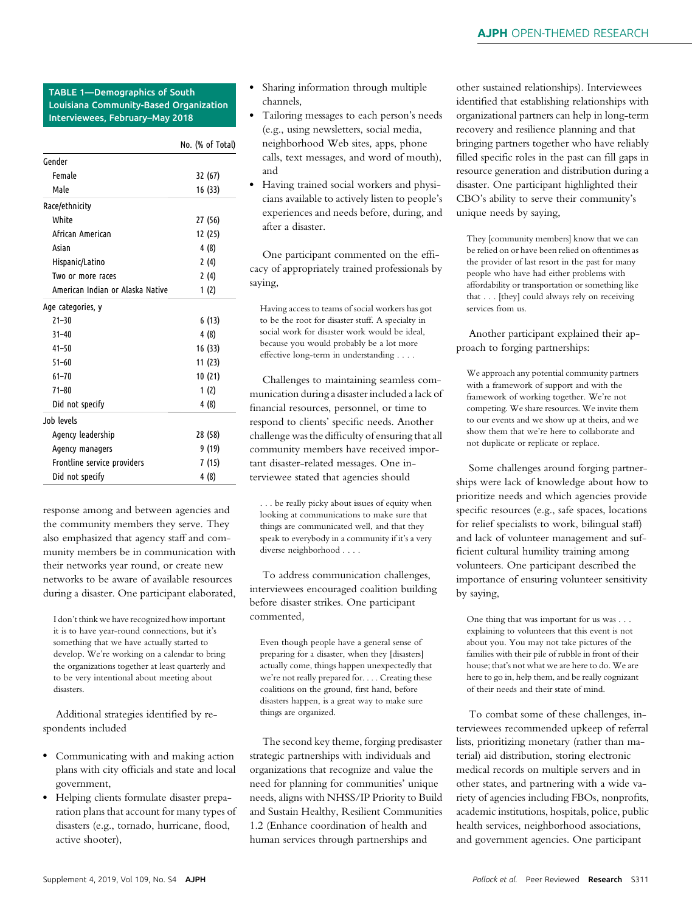### TABLE 1—Demographics of South Louisiana Community-Based Organization Interviewees, February–May 2018

|                                  | No. (% of Total) |
|----------------------------------|------------------|
| Gender                           |                  |
| Female                           | 32 (67)          |
| Male                             | 16 (33)          |
| Race/ethnicity                   |                  |
| White                            | 27 (56)          |
| African American                 | 12 (25)          |
| Asian                            | 4(8)             |
| Hispanic/Latino                  | 2(4)             |
| Two or more races                | 2(4)             |
| American Indian or Alaska Native | 1(2)             |
| Age categories, y                |                  |
| $21 - 30$                        | 6(13)            |
| $31 - 40$                        | 4 (8)            |
| $41 - 50$                        | 16 (33)          |
| $51 - 60$                        | 11(23)           |
| $61 - 70$                        | 10(21)           |
| $71 - 80$                        | 1(2)             |
| Did not specify                  | 4 (8)            |
| Job levels                       |                  |
| Agency leadership                | 28 (58)          |
| Agency managers                  | 9 (19)           |
| Frontline service providers      | 7(15)            |
| Did not specify                  | 4 (8)            |

response among and between agencies and the community members they serve. They also emphasized that agency staff and community members be in communication with their networks year round, or create new networks to be aware of available resources during a disaster. One participant elaborated,

I don't think we have recognized how important it is to have year-round connections, but it's something that we have actually started to develop. We're working on a calendar to bring the organizations together at least quarterly and to be very intentional about meeting about disasters.

Additional strategies identified by respondents included

- Communicating with and making action plans with city officials and state and local government,
- Helping clients formulate disaster preparation plans that account for many types of disasters (e.g., tornado, hurricane, flood, active shooter),
- Sharing information through multiple channels,
- Tailoring messages to each person's needs (e.g., using newsletters, social media, neighborhood Web sites, apps, phone calls, text messages, and word of mouth), and
- Having trained social workers and physicians available to actively listen to people's experiences and needs before, during, and after a disaster.

One participant commented on the efficacy of appropriately trained professionals by saying,

Having access to teams of social workers has got to be the root for disaster stuff. A specialty in social work for disaster work would be ideal, because you would probably be a lot more effective long-term in understanding . . . .

Challenges to maintaining seamless communication during a disaster included a lack of financial resources, personnel, or time to respond to clients' specific needs. Another challenge was the difficulty of ensuring that all community members have received important disaster-related messages. One interviewee stated that agencies should

. . . be really picky about issues of equity when looking at communications to make sure that things are communicated well, and that they speak to everybody in a community if it's a very diverse neighborhood . . . .

To address communication challenges, interviewees encouraged coalition building before disaster strikes. One participant commented,

Even though people have a general sense of preparing for a disaster, when they [disasters] actually come, things happen unexpectedly that we're not really prepared for. . . . Creating these coalitions on the ground, first hand, before disasters happen, is a great way to make sure things are organized.

The second key theme, forging predisaster strategic partnerships with individuals and organizations that recognize and value the need for planning for communities' unique needs, aligns with NHSS/IP Priority to Build and Sustain Healthy, Resilient Communities 1.2 (Enhance coordination of health and human services through partnerships and

other sustained relationships). Interviewees identified that establishing relationships with organizational partners can help in long-term recovery and resilience planning and that bringing partners together who have reliably filled specific roles in the past can fill gaps in resource generation and distribution during a disaster. One participant highlighted their CBO's ability to serve their community's unique needs by saying,

They [community members] know that we can be relied on or have been relied on oftentimes as the provider of last resort in the past for many people who have had either problems with affordability or transportation or something like that . . . [they] could always rely on receiving services from us.

Another participant explained their approach to forging partnerships:

We approach any potential community partners with a framework of support and with the framework of working together. We're not competing. We share resources. We invite them to our events and we show up at theirs, and we show them that we're here to collaborate and not duplicate or replicate or replace.

Some challenges around forging partnerships were lack of knowledge about how to prioritize needs and which agencies provide specific resources (e.g., safe spaces, locations for relief specialists to work, bilingual staff) and lack of volunteer management and sufficient cultural humility training among volunteers. One participant described the importance of ensuring volunteer sensitivity by saying,

One thing that was important for us was . . . explaining to volunteers that this event is not about you. You may not take pictures of the families with their pile of rubble in front of their house; that's not what we are here to do. We are here to go in, help them, and be really cognizant of their needs and their state of mind.

To combat some of these challenges, interviewees recommended upkeep of referral lists, prioritizing monetary (rather than material) aid distribution, storing electronic medical records on multiple servers and in other states, and partnering with a wide variety of agencies including FBOs, nonprofits, academic institutions, hospitals, police, public health services, neighborhood associations, and government agencies. One participant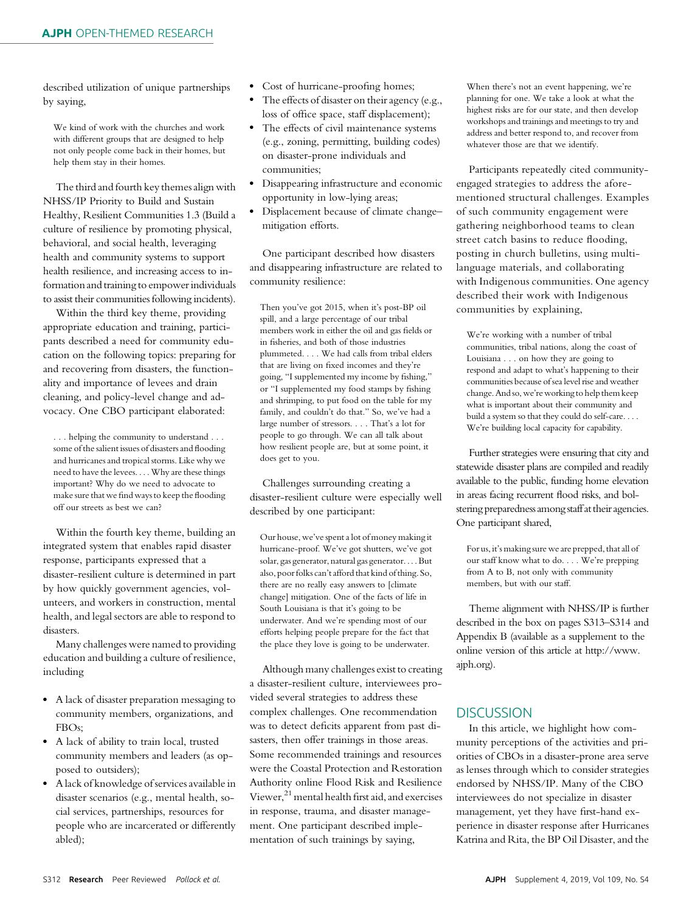described utilization of unique partnerships by saying,

We kind of work with the churches and work with different groups that are designed to help not only people come back in their homes, but help them stay in their homes.

The third and fourth key themes align with NHSS/IP Priority to Build and Sustain Healthy, Resilient Communities 1.3 (Build a culture of resilience by promoting physical, behavioral, and social health, leveraging health and community systems to support health resilience, and increasing access to information and training to empower individuals to assist their communities following incidents).

Within the third key theme, providing appropriate education and training, participants described a need for community education on the following topics: preparing for and recovering from disasters, the functionality and importance of levees and drain cleaning, and policy-level change and advocacy. One CBO participant elaborated:

. . . helping the community to understand . . . some of the salient issues of disasters and flooding and hurricanes and tropical storms. Like why we need to have the levees. . . . Why are these things important? Why do we need to advocate to make sure that we find ways to keep the flooding off our streets as best we can?

Within the fourth key theme, building an integrated system that enables rapid disaster response, participants expressed that a disaster-resilient culture is determined in part by how quickly government agencies, volunteers, and workers in construction, mental health, and legal sectors are able to respond to disasters.

Many challenges were named to providing education and building a culture of resilience, including

- A lack of disaster preparation messaging to community members, organizations, and FBOs;
- A lack of ability to train local, trusted community members and leaders (as opposed to outsiders);
- <sup>d</sup> A lack of knowledge of services available in disaster scenarios (e.g., mental health, social services, partnerships, resources for people who are incarcerated or differently abled);
- Cost of hurricane-proofing homes;
- The effects of disaster on their agency (e.g., loss of office space, staff displacement);
- The effects of civil maintenance systems (e.g., zoning, permitting, building codes) on disaster-prone individuals and communities;
- Disappearing infrastructure and economic opportunity in low-lying areas;
- Displacement because of climate change– mitigation efforts.

One participant described how disasters and disappearing infrastructure are related to community resilience:

Then you've got 2015, when it's post-BP oil spill, and a large percentage of our tribal members work in either the oil and gas fields or in fisheries, and both of those industries plummeted. . . . We had calls from tribal elders that are living on fixed incomes and they're going, "I supplemented my income by fishing," or "I supplemented my food stamps by fishing and shrimping, to put food on the table for my family, and couldn't do that." So, we've had a large number of stressors. . . . That's a lot for people to go through. We can all talk about how resilient people are, but at some point, it does get to you.

Challenges surrounding creating a disaster-resilient culture were especially well described by one participant:

Our house, we've spent a lot of money making it hurricane-proof. We've got shutters, we've got solar, gas generator, natural gas generator. . . . But also, poor folks can't afford that kind of thing. So, there are no really easy answers to [climate change] mitigation. One of the facts of life in South Louisiana is that it's going to be underwater. And we're spending most of our efforts helping people prepare for the fact that the place they love is going to be underwater.

Although many challenges exist to creating a disaster-resilient culture, interviewees provided several strategies to address these complex challenges. One recommendation was to detect deficits apparent from past disasters, then offer trainings in those areas. Some recommended trainings and resources were the Coastal Protection and Restoration Authority online Flood Risk and Resilience Viewer, $^{21}$  mental health first aid, and exercises in response, trauma, and disaster management. One participant described implementation of such trainings by saying,

When there's not an event happening, we're planning for one. We take a look at what the highest risks are for our state, and then develop workshops and trainings and meetings to try and address and better respond to, and recover from whatever those are that we identify.

Participants repeatedly cited communityengaged strategies to address the aforementioned structural challenges. Examples of such community engagement were gathering neighborhood teams to clean street catch basins to reduce flooding, posting in church bulletins, using multilanguage materials, and collaborating with Indigenous communities. One agency described their work with Indigenous communities by explaining,

We're working with a number of tribal communities, tribal nations, along the coast of Louisiana . . . on how they are going to respond and adapt to what's happening to their communities because of sea level rise and weather change. And so, we're working to help them keep what is important about their community and build a system so that they could do self-care. . . . We're building local capacity for capability.

Further strategies were ensuring that city and statewide disaster plans are compiled and readily available to the public, funding home elevation in areas facing recurrent flood risks, and bolstering preparedness among staff at their agencies. One participant shared,

For us, it's making sure we are prepped, that all of our staff know what to do. . . . We're prepping from A to B, not only with community members, but with our staff.

Theme alignment with NHSS/IP is further described in the box on pages S313–S314 and Appendix B (available as a supplement to the online version of this article at [http://www.](http://www.ajph.org) [ajph.org\)](http://www.ajph.org).

# **DISCUSSION**

In this article, we highlight how community perceptions of the activities and priorities of CBOs in a disaster-prone area serve as lenses through which to consider strategies endorsed by NHSS/IP. Many of the CBO interviewees do not specialize in disaster management, yet they have first-hand experience in disaster response after Hurricanes Katrina and Rita, the BP Oil Disaster, and the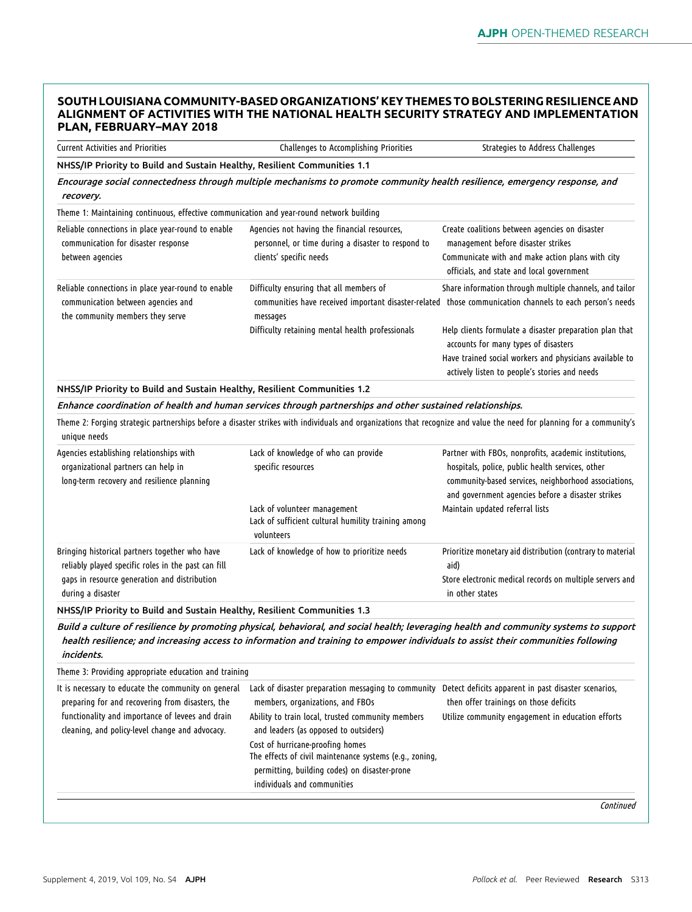## SOUTH LOUISIANA COMMUNITY-BASED ORGANIZATIONS'KEY THEMES TO BOLSTERING RESILIENCE AND ALIGNMENT OF ACTIVITIES WITH THE NATIONAL HEALTH SECURITY STRATEGY AND IMPLEMENTATION PLAN, FEBRUARY–MAY 2018

Current Activities and Priorities Challenges to Accomplishing Priorities Strategies to Address Challenges NHSS/IP Priority to Build and Sustain Healthy, Resilient Communities 1.1 Encourage social connectedness through multiple mechanisms to promote community health resilience, emergency response, and recovery. Theme 1: Maintaining continuous, effective communication and year-round network building Reliable connections in place year-round to enable communication for disaster response between agencies Agencies not having the financial resources, personnel, or time during a disaster to respond to clients' specific needs Create coalitions between agencies on disaster management before disaster strikes Communicate with and make action plans with city officials, and state and local government Reliable connections in place year-round to enable communication between agencies and the community members they serve Difficulty ensuring that all members of communities have received important disaster-related those communication channels to each person's needs messages Share information through multiple channels, and tailor Difficulty retaining mental health professionals Help clients formulate a disaster preparation plan that accounts for many types of disasters Have trained social workers and physicians available to actively listen to people's stories and needs NHSS/IP Priority to Build and Sustain Healthy, Resilient Communities 1.2 Enhance coordination of health and human services through partnerships and other sustained relationships. Theme 2: Forging strategic partnerships before a disaster strikes with individuals and organizations that recognize and value the need for planning for a community's unique needs Agencies establishing relationships with Lack of knowledge of who can provide Partner with FBOs, nonprofits, academic institutions,

| Agencies establishing relationships with<br>organizational partners can help in<br>long-term recovery and resilience planning                                              | Lack of knowledge of who can provide<br>specific resources                                        | Partner with FBOs, nonprofits, academic institutions,<br>hospitals, police, public health services, other<br>community-based services, neighborhood associations,<br>and government agencies before a disaster strikes |
|----------------------------------------------------------------------------------------------------------------------------------------------------------------------------|---------------------------------------------------------------------------------------------------|------------------------------------------------------------------------------------------------------------------------------------------------------------------------------------------------------------------------|
|                                                                                                                                                                            | Lack of volunteer management<br>Lack of sufficient cultural humility training among<br>volunteers | Maintain updated referral lists                                                                                                                                                                                        |
| Bringing historical partners together who have<br>reliably played specific roles in the past can fill<br>gaps in resource generation and distribution<br>during a disaster | Lack of knowledge of how to prioritize needs                                                      | Prioritize monetary aid distribution (contrary to material<br>aid)<br>Store electronic medical records on multiple servers and<br>in other states                                                                      |

NHSS/IP Priority to Build and Sustain Healthy, Resilient Communities 1.3

Build <sup>a</sup> culture of resilience by promoting physical, behavioral, and social health; leveraging health and community systems to support health resilience; and increasing access to information and training to empower individuals to assist their communities following incidents.

| It is necessary to educate the community on general<br>preparing for and recovering from disasters, the<br>functionality and importance of levees and drain | Lack of disaster preparation messaging to community<br>members, organizations, and FBOs<br>Ability to train local, trusted community members | Detect deficits apparent in past disaster scenarios,<br>then offer trainings on those deficits<br>Utilize community engagement in education efforts |
|-------------------------------------------------------------------------------------------------------------------------------------------------------------|----------------------------------------------------------------------------------------------------------------------------------------------|-----------------------------------------------------------------------------------------------------------------------------------------------------|
| cleaning, and policy-level change and advocacy.                                                                                                             | and leaders (as opposed to outsiders)                                                                                                        |                                                                                                                                                     |
|                                                                                                                                                             | Cost of hurricane-proofing homes<br>The effects of civil maintenance systems (e.g., zoning,                                                  |                                                                                                                                                     |
|                                                                                                                                                             | permitting, building codes) on disaster-prone                                                                                                |                                                                                                                                                     |
|                                                                                                                                                             | individuals and communities                                                                                                                  |                                                                                                                                                     |
|                                                                                                                                                             |                                                                                                                                              | Continued                                                                                                                                           |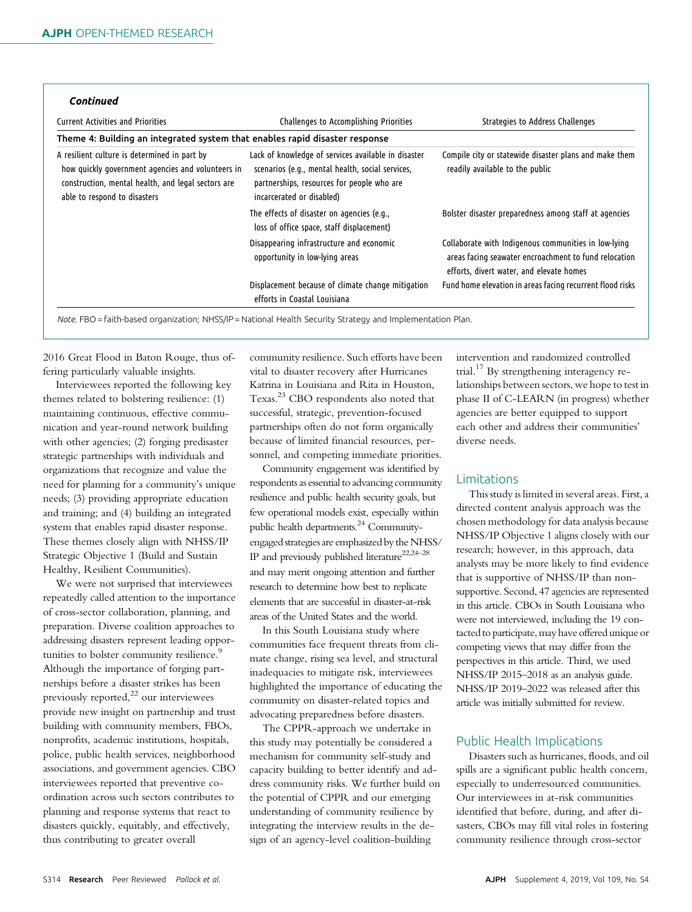## Continued

| <b>Current Activities and Priorities</b>                                                                                                                                                | Challenges to Accomplishing Priorities                                                                                                                                             | Strategies to Address Challenges                                                                                                                          |
|-----------------------------------------------------------------------------------------------------------------------------------------------------------------------------------------|------------------------------------------------------------------------------------------------------------------------------------------------------------------------------------|-----------------------------------------------------------------------------------------------------------------------------------------------------------|
| Theme 4: Building an integrated system that enables rapid disaster response                                                                                                             |                                                                                                                                                                                    |                                                                                                                                                           |
| A resilient culture is determined in part by<br>how quickly government agencies and volunteers in<br>construction, mental health, and legal sectors are<br>able to respond to disasters | Lack of knowledge of services available in disaster<br>scenarios (e.g., mental health, social services,<br>partnerships, resources for people who are<br>incarcerated or disabled) | Compile city or statewide disaster plans and make them<br>readily available to the public                                                                 |
|                                                                                                                                                                                         | The effects of disaster on agencies (e.g.,<br>loss of office space, staff displacement)                                                                                            | Bolster disaster preparedness among staff at agencies                                                                                                     |
|                                                                                                                                                                                         | Disappearing infrastructure and economic<br>opportunity in low-lying areas                                                                                                         | Collaborate with Indigenous communities in low-lying<br>areas facing seawater encroachment to fund relocation<br>efforts, divert water, and elevate homes |
|                                                                                                                                                                                         | Displacement because of climate change mitigation<br>efforts in Coastal Louisiana                                                                                                  | Fund home elevation in areas facing recurrent flood risks                                                                                                 |

Note. FBO = faith-based organization; NHSS/IP = National Health Security Strategy and Implementation Plan.

2016 Great Flood in Baton Rouge, thus offering particularly valuable insights.

Interviewees reported the following key themes related to bolstering resilience: (1) maintaining continuous, effective communication and year-round network building with other agencies; (2) forging predisaster strategic partnerships with individuals and organizations that recognize and value the need for planning for a community's unique needs; (3) providing appropriate education and training; and (4) building an integrated system that enables rapid disaster response. These themes closely align with NHSS/IP Strategic Objective 1 (Build and Sustain Healthy, Resilient Communities).

We were not surprised that interviewees repeatedly called attention to the importance of cross-sector collaboration, planning, and preparation. Diverse coalition approaches to addressing disasters represent leading opportunities to bolster community resilience.<sup>9</sup> Although the importance of forging partnerships before a disaster strikes has been previously reported, $^{22}$  our interviewees provide new insight on partnership and trust building with community members, FBOs, nonprofits, academic institutions, hospitals, police, public health services, neighborhood associations, and government agencies. CBO interviewees reported that preventive coordination across such sectors contributes to planning and response systems that react to disasters quickly, equitably, and effectively, thus contributing to greater overall

community resilience. Such efforts have been vital to disaster recovery after Hurricanes Katrina in Louisiana and Rita in Houston, Texas.<sup>23</sup> CBO respondents also noted that successful, strategic, prevention-focused partnerships often do not form organically because of limited financial resources, personnel, and competing immediate priorities.

Community engagement was identified by respondents as essential to advancing community resilience and public health security goals, but few operational models exist, especially within public health departments.24 Communityengaged strategies are emphasized by the NHSS/ IP and previously published literature<sup>22,24–28</sup> and may merit ongoing attention and further research to determine how best to replicate elements that are successful in disaster-at-risk areas of the United States and the world.

In this South Louisiana study where communities face frequent threats from climate change, rising sea level, and structural inadequacies to mitigate risk, interviewees highlighted the importance of educating the community on disaster-related topics and advocating preparedness before disasters.

The CPPR-approach we undertake in this study may potentially be considered a mechanism for community self-study and capacity building to better identify and address community risks. We further build on the potential of CPPR and our emerging understanding of community resilience by integrating the interview results in the design of an agency-level coalition-building

intervention and randomized controlled trial.<sup>17</sup> By strengthening interagency relationships between sectors, we hope to test in phase II of C-LEARN (in progress) whether agencies are better equipped to support each other and address their communities' diverse needs.

## Limitations

This study is limited in several areas. First, a directed content analysis approach was the chosen methodology for data analysis because NHSS/IP Objective 1 aligns closely with our research; however, in this approach, data analysts may be more likely to find evidence that is supportive of NHSS/IP than nonsupportive. Second, 47 agencies are represented in this article. CBOs in South Louisiana who were not interviewed, including the 19 contacted to participate, may have offered unique or competing views that may differ from the perspectives in this article. Third, we used NHSS/IP 2015–2018 as an analysis guide. NHSS/IP 2019–2022 was released after this article was initially submitted for review.

# Public Health Implications

Disasters such as hurricanes, floods, and oil spills are a significant public health concern, especially to underresourced communities. Our interviewees in at-risk communities identified that before, during, and after disasters, CBOs may fill vital roles in fostering community resilience through cross-sector